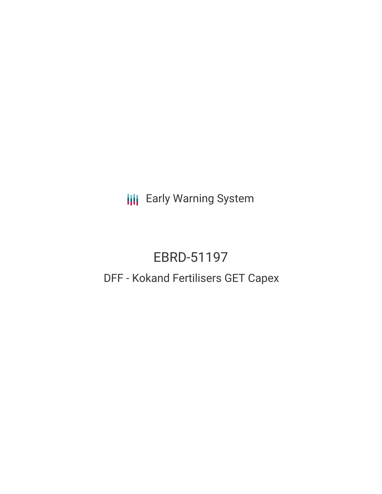**III** Early Warning System

# EBRD-51197

## DFF - Kokand Fertilisers GET Capex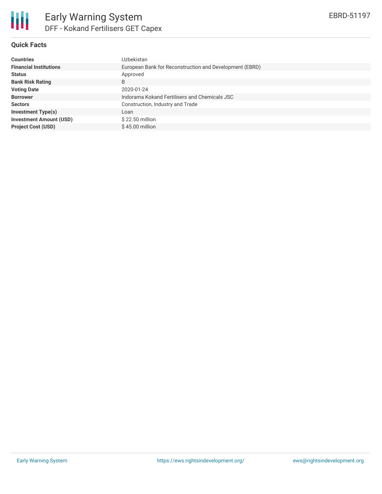

#### **Quick Facts**

| <b>Countries</b>               | Uzbekistan                                              |
|--------------------------------|---------------------------------------------------------|
| <b>Financial Institutions</b>  | European Bank for Reconstruction and Development (EBRD) |
| <b>Status</b>                  | Approved                                                |
| <b>Bank Risk Rating</b>        | B                                                       |
| <b>Voting Date</b>             | 2020-01-24                                              |
| <b>Borrower</b>                | Indorama Kokand Fertilisers and Chemicals JSC           |
| <b>Sectors</b>                 | Construction, Industry and Trade                        |
| <b>Investment Type(s)</b>      | Loan                                                    |
| <b>Investment Amount (USD)</b> | $$22.50$ million                                        |
| <b>Project Cost (USD)</b>      | $$45.00$ million                                        |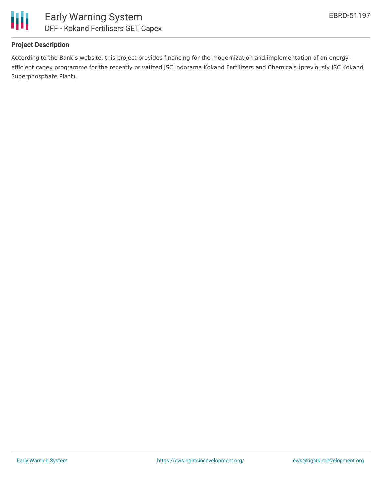

#### **Project Description**

According to the Bank's website, this project provides financing for the modernization and implementation of an energyefficient capex programme for the recently privatized JSC Indorama Kokand Fertilizers and Chemicals (previously JSC Kokand Superphosphate Plant).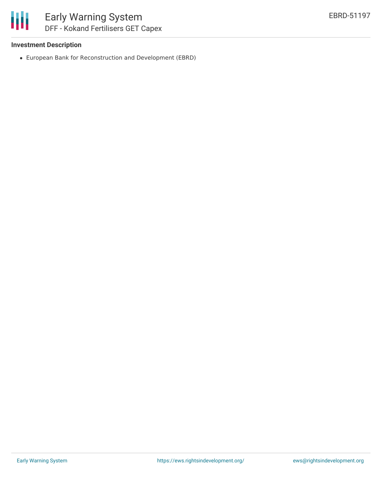

## Early Warning System DFF - Kokand Fertilisers GET Capex

#### **Investment Description**

European Bank for Reconstruction and Development (EBRD)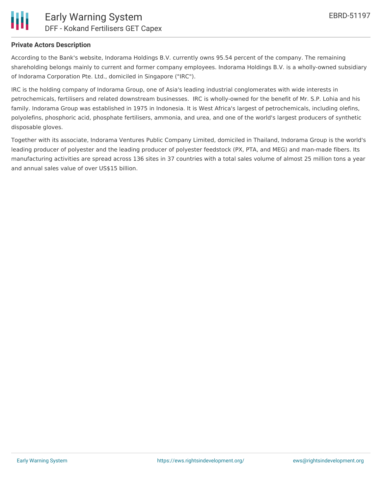

#### **Private Actors Description**

According to the Bank's website, Indorama Holdings B.V. currently owns 95.54 percent of the company. The remaining shareholding belongs mainly to current and former company employees. Indorama Holdings B.V. is a wholly-owned subsidiary of Indorama Corporation Pte. Ltd., domiciled in Singapore ("IRC").

IRC is the holding company of Indorama Group, one of Asia's leading industrial conglomerates with wide interests in petrochemicals, fertilisers and related downstream businesses. IRC is wholly-owned for the benefit of Mr. S.P. Lohia and his family. Indorama Group was established in 1975 in Indonesia. It is West Africa's largest of petrochemicals, including olefins, polyolefins, phosphoric acid, phosphate fertilisers, ammonia, and urea, and one of the world's largest producers of synthetic disposable gloves.

Together with its associate, Indorama Ventures Public Company Limited, domiciled in Thailand, Indorama Group is the world's leading producer of polyester and the leading producer of polyester feedstock (PX, PTA, and MEG) and man-made fibers. Its manufacturing activities are spread across 136 sites in 37 countries with a total sales volume of almost 25 million tons a year and annual sales value of over US\$15 billion.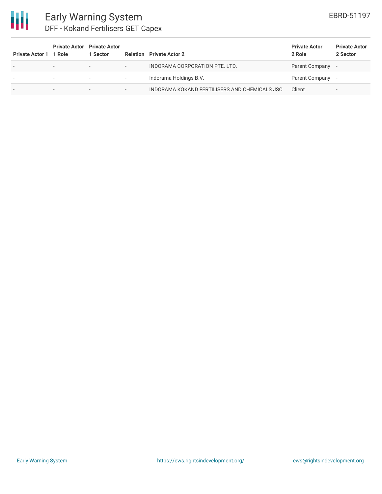

### Early Warning System DFF - Kokand Fertilisers GET Capex

| <b>Private Actor 1</b>   | 1 Role                   | <b>Private Actor</b> Private Actor<br>1 Sector |                          | <b>Relation</b> Private Actor 2               | <b>Private Actor</b><br>2 Role | <b>Private Actor</b><br>2 Sector |
|--------------------------|--------------------------|------------------------------------------------|--------------------------|-----------------------------------------------|--------------------------------|----------------------------------|
| $\overline{\phantom{a}}$ | $\overline{\phantom{0}}$ | $\overline{\phantom{a}}$                       | $\overline{\phantom{0}}$ | INDORAMA CORPORATION PTE. LTD.                | Parent Company -               |                                  |
|                          |                          | $\overline{\phantom{a}}$                       | $\overline{\phantom{a}}$ | Indorama Holdings B.V.                        | Parent Company -               |                                  |
| -                        | -                        | $\overline{\phantom{0}}$                       | $\overline{\phantom{a}}$ | INDORAMA KOKAND FERTILISERS AND CHEMICALS JSC | Client                         | $\,$                             |